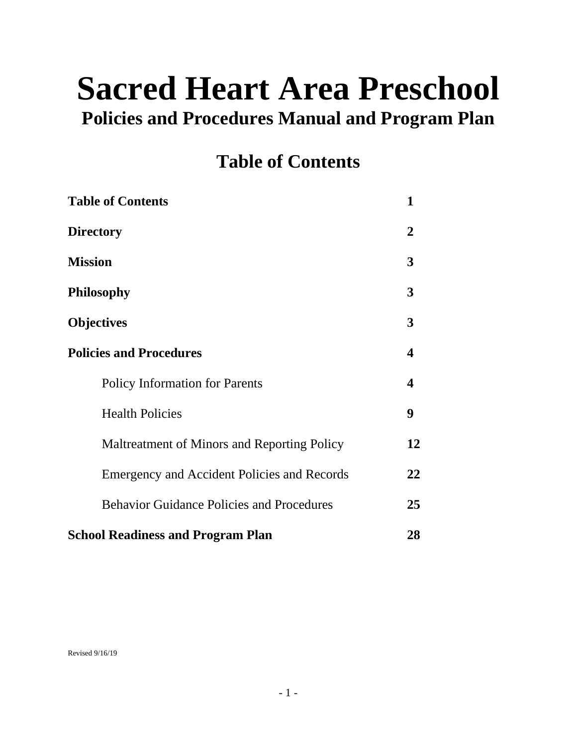# **Sacred Heart Area Preschool**

## **Policies and Procedures Manual and Program Plan**

## **Table of Contents**

| <b>Table of Contents</b>                           | 1  |
|----------------------------------------------------|----|
| <b>Directory</b>                                   | 2  |
| <b>Mission</b>                                     | 3  |
| <b>Philosophy</b>                                  | 3  |
| <b>Objectives</b>                                  | 3  |
| <b>Policies and Procedures</b>                     | 4  |
| <b>Policy Information for Parents</b>              | 4  |
| <b>Health Policies</b>                             | 9  |
| Maltreatment of Minors and Reporting Policy        | 12 |
| <b>Emergency and Accident Policies and Records</b> | 22 |
| <b>Behavior Guidance Policies and Procedures</b>   | 25 |
| <b>School Readiness and Program Plan</b>           | 28 |

Revised 9/16/19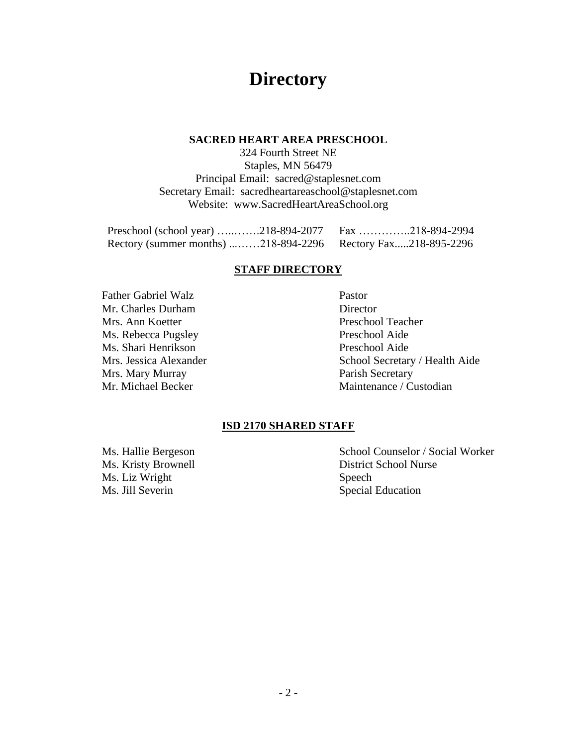## **Directory**

#### **SACRED HEART AREA PRESCHOOL**

324 Fourth Street NE Staples, MN 56479 Principal Email: sacred@staplesnet.com Secretary Email: sacredheartareaschool@staplesnet.com Website: www.SacredHeartAreaSchool.org

| Preschool (school year) 218-894-2077   Fax 218-894-2994      |  |  |
|--------------------------------------------------------------|--|--|
| Rectory (summer months) 218-894-2296 Rectory Fax218-895-2296 |  |  |

#### **STAFF DIRECTORY**

Father Gabriel Walz Pastor Mr. Charles Durham Director Mrs. Ann Koetter Preschool Teacher Ms. Rebecca Pugsley Preschool Aide Ms. Shari Henrikson Preschool Aide Mrs. Mary Murray **Parish Secretary** 

Mrs. Jessica Alexander School Secretary / Health Aide Mr. Michael Becker Maintenance / Custodian

#### **ISD 2170 SHARED STAFF**

Ms. Liz Wright Speech Ms. Jill Severin Special Education

Ms. Hallie Bergeson School Counselor / Social Worker Ms. Kristy Brownell District School Nurse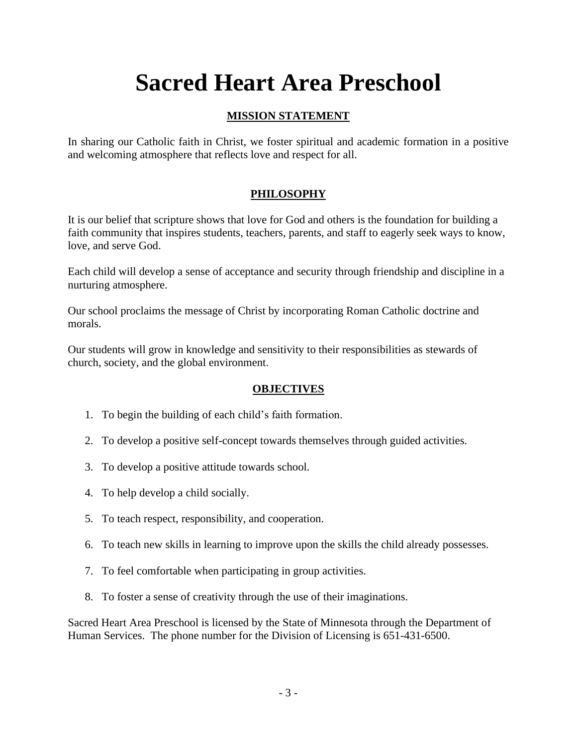## **Sacred Heart Area Preschool**

## **MISSION STATEMENT**

In sharing our Catholic faith in Christ, we foster spiritual and academic formation in a positive and welcoming atmosphere that reflects love and respect for all.

## **PHILOSOPHY**

It is our belief that scripture shows that love for God and others is the foundation for building a faith community that inspires students, teachers, parents, and staff to eagerly seek ways to know, love, and serve God.

Each child will develop a sense of acceptance and security through friendship and discipline in a nurturing atmosphere.

Our school proclaims the message of Christ by incorporating Roman Catholic doctrine and morals.

Our students will grow in knowledge and sensitivity to their responsibilities as stewards of church, society, and the global environment.

## **OBJECTIVES**

- 1. To begin the building of each child's faith formation.
- 2. To develop a positive self-concept towards themselves through guided activities.
- 3. To develop a positive attitude towards school.
- 4. To help develop a child socially.
- 5. To teach respect, responsibility, and cooperation.
- 6. To teach new skills in learning to improve upon the skills the child already possesses.
- 7. To feel comfortable when participating in group activities.
- 8. To foster a sense of creativity through the use of their imaginations.

Sacred Heart Area Preschool is licensed by the State of Minnesota through the Department of Human Services. The phone number for the Division of Licensing is 651-431-6500.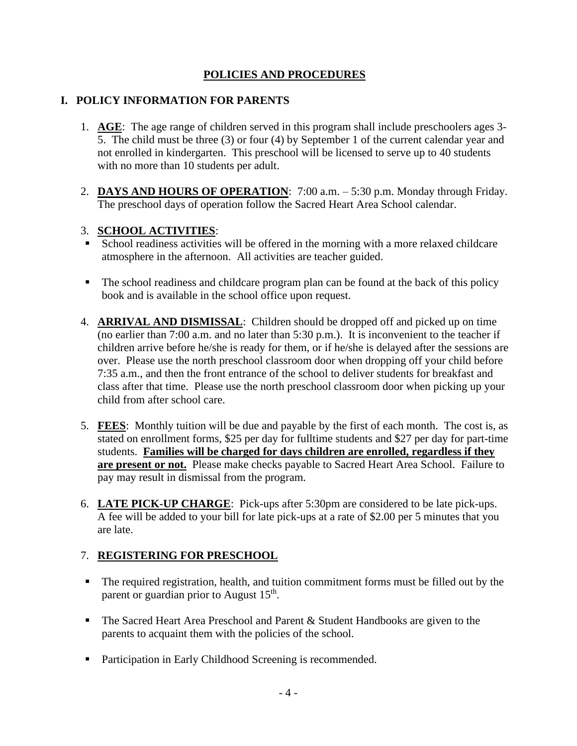## **POLICIES AND PROCEDURES**

## **I. POLICY INFORMATION FOR PARENTS**

- 1. **AGE**: The age range of children served in this program shall include preschoolers ages 3- 5. The child must be three (3) or four (4) by September 1 of the current calendar year and not enrolled in kindergarten. This preschool will be licensed to serve up to 40 students with no more than 10 students per adult.
- 2. **DAYS AND HOURS OF OPERATION**: 7:00 a.m. 5:30 p.m. Monday through Friday. The preschool days of operation follow the Sacred Heart Area School calendar.

## 3. **SCHOOL ACTIVITIES**:

- School readiness activities will be offered in the morning with a more relaxed childcare atmosphere in the afternoon. All activities are teacher guided.
- The school readiness and childcare program plan can be found at the back of this policy book and is available in the school office upon request.
- 4. **ARRIVAL AND DISMISSAL**: Children should be dropped off and picked up on time (no earlier than 7:00 a.m. and no later than 5:30 p.m.). It is inconvenient to the teacher if children arrive before he/she is ready for them, or if he/she is delayed after the sessions are over. Please use the north preschool classroom door when dropping off your child before 7:35 a.m., and then the front entrance of the school to deliver students for breakfast and class after that time. Please use the north preschool classroom door when picking up your child from after school care.
- 5. **FEES**: Monthly tuition will be due and payable by the first of each month. The cost is, as stated on enrollment forms, \$25 per day for fulltime students and \$27 per day for part-time students. **Families will be charged for days children are enrolled, regardless if they are present or not.** Please make checks payable to Sacred Heart Area School. Failure to pay may result in dismissal from the program.
- 6. **LATE PICK-UP CHARGE**: Pick-ups after 5:30pm are considered to be late pick-ups. A fee will be added to your bill for late pick-ups at a rate of \$2.00 per 5 minutes that you are late.

## 7. **REGISTERING FOR PRESCHOOL**

- The required registration, health, and tuition commitment forms must be filled out by the parent or guardian prior to August 15<sup>th</sup>.
- The Sacred Heart Area Preschool and Parent & Student Handbooks are given to the parents to acquaint them with the policies of the school.
- Participation in Early Childhood Screening is recommended.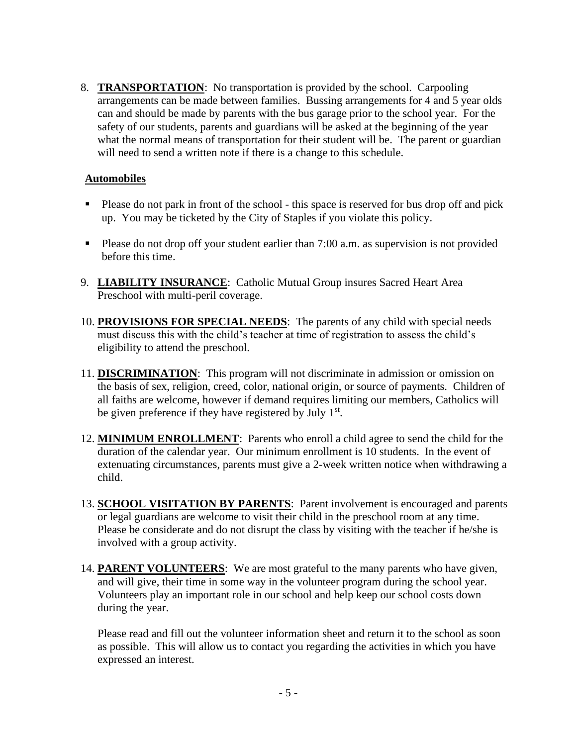8. **TRANSPORTATION**: No transportation is provided by the school. Carpooling arrangements can be made between families. Bussing arrangements for 4 and 5 year olds can and should be made by parents with the bus garage prior to the school year. For the safety of our students, parents and guardians will be asked at the beginning of the year what the normal means of transportation for their student will be. The parent or guardian will need to send a written note if there is a change to this schedule.

## **Automobiles**

- Please do not park in front of the school this space is reserved for bus drop off and pick up. You may be ticketed by the City of Staples if you violate this policy.
- Please do not drop off your student earlier than 7:00 a.m. as supervision is not provided before this time.
- 9. **LIABILITY INSURANCE**: Catholic Mutual Group insures Sacred Heart Area Preschool with multi-peril coverage.
- 10. **PROVISIONS FOR SPECIAL NEEDS**: The parents of any child with special needs must discuss this with the child's teacher at time of registration to assess the child's eligibility to attend the preschool.
- 11. **DISCRIMINATION**: This program will not discriminate in admission or omission on the basis of sex, religion, creed, color, national origin, or source of payments. Children of all faiths are welcome, however if demand requires limiting our members, Catholics will be given preference if they have registered by July  $1<sup>st</sup>$ .
- 12. **MINIMUM ENROLLMENT**: Parents who enroll a child agree to send the child for the duration of the calendar year. Our minimum enrollment is 10 students. In the event of extenuating circumstances, parents must give a 2-week written notice when withdrawing a child.
- 13. **SCHOOL VISITATION BY PARENTS**: Parent involvement is encouraged and parents or legal guardians are welcome to visit their child in the preschool room at any time. Please be considerate and do not disrupt the class by visiting with the teacher if he/she is involved with a group activity.
- 14. **PARENT VOLUNTEERS**: We are most grateful to the many parents who have given, and will give, their time in some way in the volunteer program during the school year. Volunteers play an important role in our school and help keep our school costs down during the year.

Please read and fill out the volunteer information sheet and return it to the school as soon as possible. This will allow us to contact you regarding the activities in which you have expressed an interest.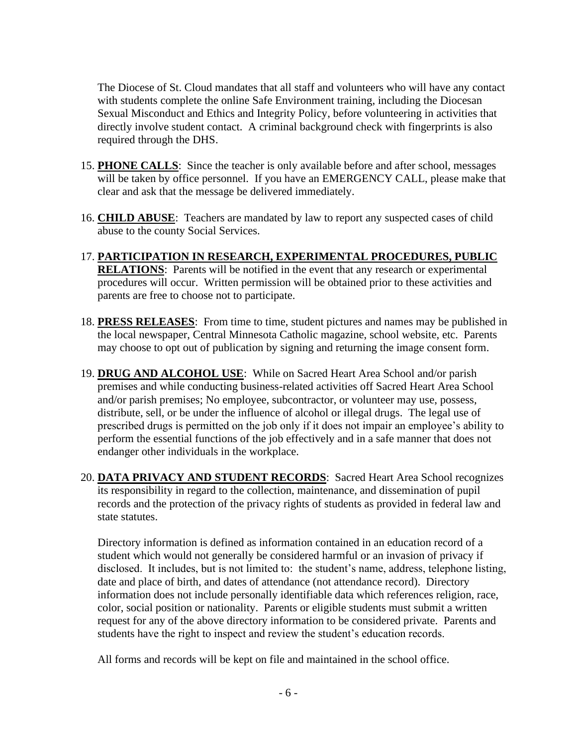The Diocese of St. Cloud mandates that all staff and volunteers who will have any contact with students complete the online Safe Environment training, including the Diocesan Sexual Misconduct and Ethics and Integrity Policy, before volunteering in activities that directly involve student contact. A criminal background check with fingerprints is also required through the DHS.

- 15. **PHONE CALLS**: Since the teacher is only available before and after school, messages will be taken by office personnel. If you have an EMERGENCY CALL, please make that clear and ask that the message be delivered immediately.
- 16. **CHILD ABUSE**: Teachers are mandated by law to report any suspected cases of child abuse to the county Social Services.
- 17. **PARTICIPATION IN RESEARCH, EXPERIMENTAL PROCEDURES, PUBLIC RELATIONS**: Parents will be notified in the event that any research or experimental procedures will occur. Written permission will be obtained prior to these activities and parents are free to choose not to participate.
- 18. **PRESS RELEASES**: From time to time, student pictures and names may be published in the local newspaper, Central Minnesota Catholic magazine, school website, etc. Parents may choose to opt out of publication by signing and returning the image consent form.
- 19. **DRUG AND ALCOHOL USE**: While on Sacred Heart Area School and/or parish premises and while conducting business-related activities off Sacred Heart Area School and/or parish premises; No employee, subcontractor, or volunteer may use, possess, distribute, sell, or be under the influence of alcohol or illegal drugs. The legal use of prescribed drugs is permitted on the job only if it does not impair an employee's ability to perform the essential functions of the job effectively and in a safe manner that does not endanger other individuals in the workplace.
- 20. **DATA PRIVACY AND STUDENT RECORDS**: Sacred Heart Area School recognizes its responsibility in regard to the collection, maintenance, and dissemination of pupil records and the protection of the privacy rights of students as provided in federal law and state statutes.

Directory information is defined as information contained in an education record of a student which would not generally be considered harmful or an invasion of privacy if disclosed. It includes, but is not limited to: the student's name, address, telephone listing, date and place of birth, and dates of attendance (not attendance record). Directory information does not include personally identifiable data which references religion, race, color, social position or nationality. Parents or eligible students must submit a written request for any of the above directory information to be considered private. Parents and students have the right to inspect and review the student's education records.

All forms and records will be kept on file and maintained in the school office.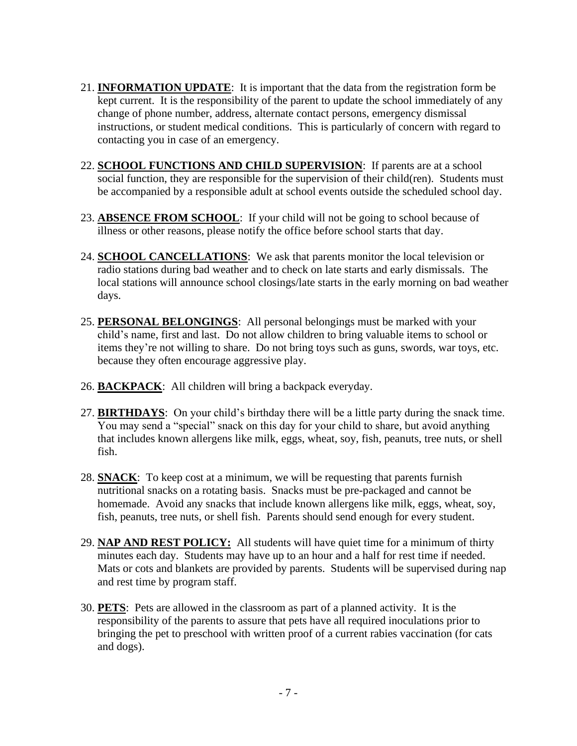- 21. **INFORMATION UPDATE**: It is important that the data from the registration form be kept current. It is the responsibility of the parent to update the school immediately of any change of phone number, address, alternate contact persons, emergency dismissal instructions, or student medical conditions. This is particularly of concern with regard to contacting you in case of an emergency.
- 22. **SCHOOL FUNCTIONS AND CHILD SUPERVISION**: If parents are at a school social function, they are responsible for the supervision of their child(ren). Students must be accompanied by a responsible adult at school events outside the scheduled school day.
- 23. **ABSENCE FROM SCHOOL**: If your child will not be going to school because of illness or other reasons, please notify the office before school starts that day.
- 24. **SCHOOL CANCELLATIONS**: We ask that parents monitor the local television or radio stations during bad weather and to check on late starts and early dismissals. The local stations will announce school closings/late starts in the early morning on bad weather days.
- 25. **PERSONAL BELONGINGS**: All personal belongings must be marked with your child's name, first and last. Do not allow children to bring valuable items to school or items they're not willing to share. Do not bring toys such as guns, swords, war toys, etc. because they often encourage aggressive play.
- 26. **BACKPACK**: All children will bring a backpack everyday.
- 27. **BIRTHDAYS**: On your child's birthday there will be a little party during the snack time. You may send a "special" snack on this day for your child to share, but avoid anything that includes known allergens like milk, eggs, wheat, soy, fish, peanuts, tree nuts, or shell fish.
- 28. **SNACK**: To keep cost at a minimum, we will be requesting that parents furnish nutritional snacks on a rotating basis. Snacks must be pre-packaged and cannot be homemade. Avoid any snacks that include known allergens like milk, eggs, wheat, soy, fish, peanuts, tree nuts, or shell fish. Parents should send enough for every student.
- 29. **NAP AND REST POLICY:** All students will have quiet time for a minimum of thirty minutes each day. Students may have up to an hour and a half for rest time if needed. Mats or cots and blankets are provided by parents. Students will be supervised during nap and rest time by program staff.
- 30. **PETS**: Pets are allowed in the classroom as part of a planned activity. It is the responsibility of the parents to assure that pets have all required inoculations prior to bringing the pet to preschool with written proof of a current rabies vaccination (for cats and dogs).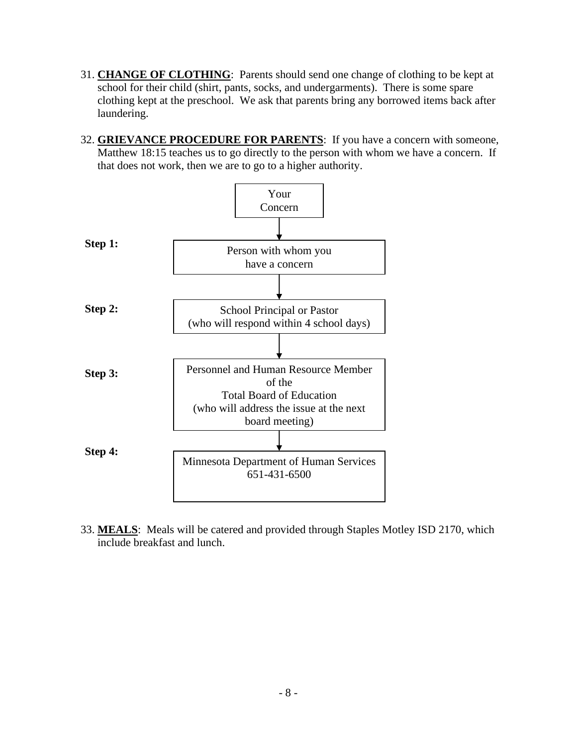- 31. **CHANGE OF CLOTHING**: Parents should send one change of clothing to be kept at school for their child (shirt, pants, socks, and undergarments). There is some spare clothing kept at the preschool. We ask that parents bring any borrowed items back after laundering.
- 32. **GRIEVANCE PROCEDURE FOR PARENTS**: If you have a concern with someone, Matthew 18:15 teaches us to go directly to the person with whom we have a concern. If that does not work, then we are to go to a higher authority.



33. **MEALS**: Meals will be catered and provided through Staples Motley ISD 2170, which include breakfast and lunch.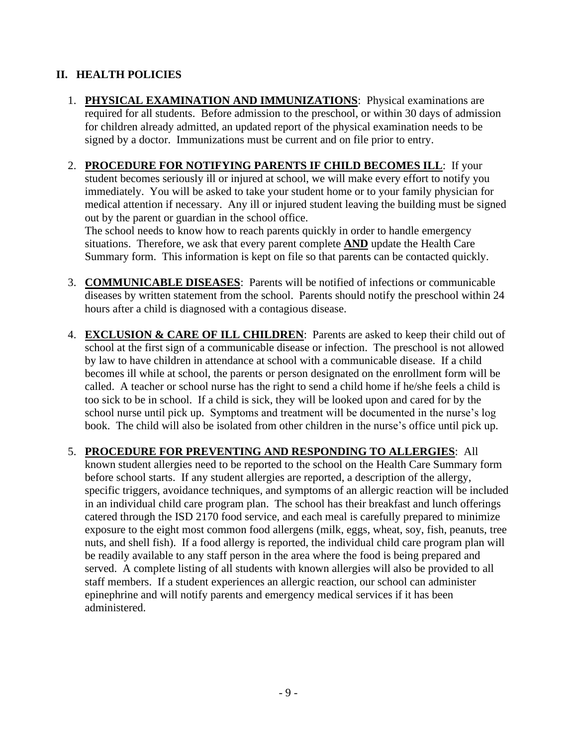## **II. HEALTH POLICIES**

- 1. **PHYSICAL EXAMINATION AND IMMUNIZATIONS**: Physical examinations are required for all students. Before admission to the preschool, or within 30 days of admission for children already admitted, an updated report of the physical examination needs to be signed by a doctor. Immunizations must be current and on file prior to entry.
- 2. **PROCEDURE FOR NOTIFYING PARENTS IF CHILD BECOMES ILL**: If your student becomes seriously ill or injured at school, we will make every effort to notify you immediately. You will be asked to take your student home or to your family physician for medical attention if necessary. Any ill or injured student leaving the building must be signed out by the parent or guardian in the school office.

The school needs to know how to reach parents quickly in order to handle emergency situations. Therefore, we ask that every parent complete **AND** update the Health Care Summary form. This information is kept on file so that parents can be contacted quickly.

- 3. **COMMUNICABLE DISEASES**: Parents will be notified of infections or communicable diseases by written statement from the school. Parents should notify the preschool within 24 hours after a child is diagnosed with a contagious disease.
- 4. **EXCLUSION & CARE OF ILL CHILDREN**: Parents are asked to keep their child out of school at the first sign of a communicable disease or infection. The preschool is not allowed by law to have children in attendance at school with a communicable disease. If a child becomes ill while at school, the parents or person designated on the enrollment form will be called. A teacher or school nurse has the right to send a child home if he/she feels a child is too sick to be in school. If a child is sick, they will be looked upon and cared for by the school nurse until pick up. Symptoms and treatment will be documented in the nurse's log book. The child will also be isolated from other children in the nurse's office until pick up.
- 5. **PROCEDURE FOR PREVENTING AND RESPONDING TO ALLERGIES**: All known student allergies need to be reported to the school on the Health Care Summary form before school starts. If any student allergies are reported, a description of the allergy, specific triggers, avoidance techniques, and symptoms of an allergic reaction will be included in an individual child care program plan. The school has their breakfast and lunch offerings catered through the ISD 2170 food service, and each meal is carefully prepared to minimize exposure to the eight most common food allergens (milk, eggs, wheat, soy, fish, peanuts, tree nuts, and shell fish). If a food allergy is reported, the individual child care program plan will be readily available to any staff person in the area where the food is being prepared and served. A complete listing of all students with known allergies will also be provided to all staff members. If a student experiences an allergic reaction, our school can administer epinephrine and will notify parents and emergency medical services if it has been administered.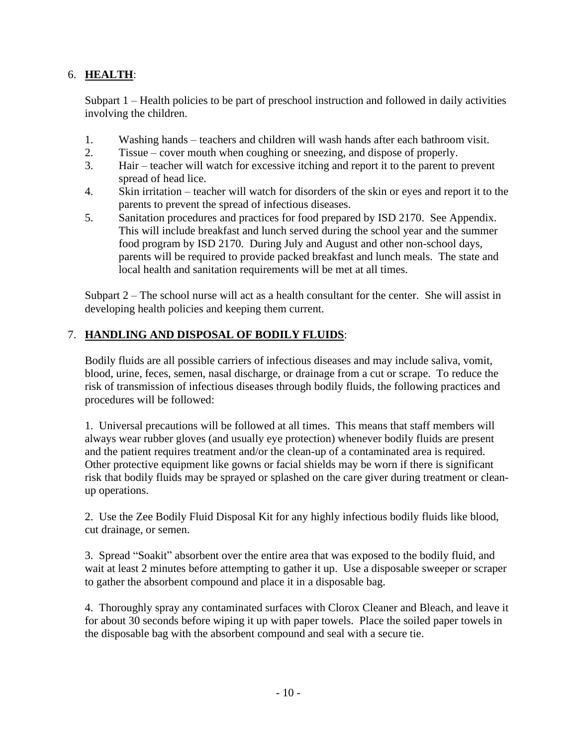## 6. **HEALTH**:

Subpart 1 – Health policies to be part of preschool instruction and followed in daily activities involving the children.

- 1. Washing hands teachers and children will wash hands after each bathroom visit.
- 2. Tissue cover mouth when coughing or sneezing, and dispose of properly.
- 3. Hair teacher will watch for excessive itching and report it to the parent to prevent spread of head lice.
- 4. Skin irritation teacher will watch for disorders of the skin or eyes and report it to the parents to prevent the spread of infectious diseases.
- 5. Sanitation procedures and practices for food prepared by ISD 2170. See Appendix. This will include breakfast and lunch served during the school year and the summer food program by ISD 2170. During July and August and other non-school days, parents will be required to provide packed breakfast and lunch meals. The state and local health and sanitation requirements will be met at all times.

Subpart 2 – The school nurse will act as a health consultant for the center. She will assist in developing health policies and keeping them current.

## 7. **HANDLING AND DISPOSAL OF BODILY FLUIDS**:

Bodily fluids are all possible carriers of infectious diseases and may include saliva, vomit, blood, urine, feces, semen, nasal discharge, or drainage from a cut or scrape. To reduce the risk of transmission of infectious diseases through bodily fluids, the following practices and procedures will be followed:

1. Universal precautions will be followed at all times. This means that staff members will always wear rubber gloves (and usually eye protection) whenever bodily fluids are present and the patient requires treatment and/or the clean-up of a contaminated area is required. Other protective equipment like gowns or facial shields may be worn if there is significant risk that bodily fluids may be sprayed or splashed on the care giver during treatment or cleanup operations.

2. Use the Zee Bodily Fluid Disposal Kit for any highly infectious bodily fluids like blood, cut drainage, or semen.

3. Spread "Soakit" absorbent over the entire area that was exposed to the bodily fluid, and wait at least 2 minutes before attempting to gather it up. Use a disposable sweeper or scraper to gather the absorbent compound and place it in a disposable bag.

4. Thoroughly spray any contaminated surfaces with Clorox Cleaner and Bleach, and leave it for about 30 seconds before wiping it up with paper towels. Place the soiled paper towels in the disposable bag with the absorbent compound and seal with a secure tie.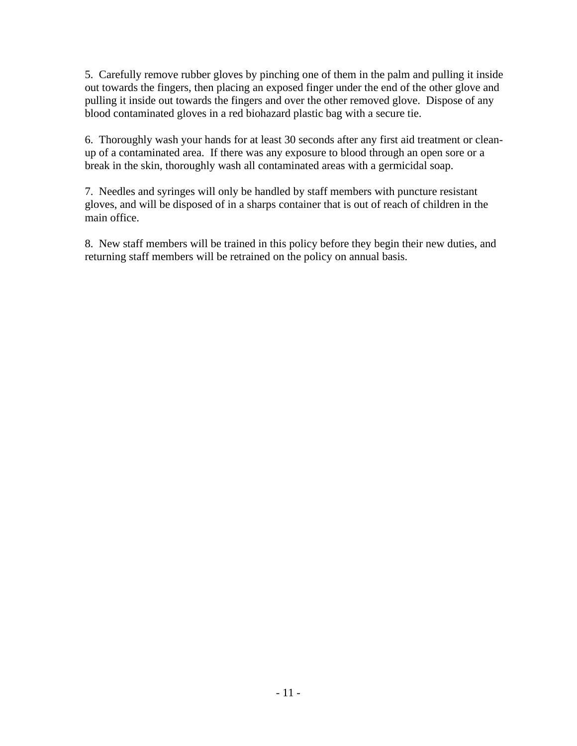5. Carefully remove rubber gloves by pinching one of them in the palm and pulling it inside out towards the fingers, then placing an exposed finger under the end of the other glove and pulling it inside out towards the fingers and over the other removed glove. Dispose of any blood contaminated gloves in a red biohazard plastic bag with a secure tie.

6. Thoroughly wash your hands for at least 30 seconds after any first aid treatment or cleanup of a contaminated area. If there was any exposure to blood through an open sore or a break in the skin, thoroughly wash all contaminated areas with a germicidal soap.

7. Needles and syringes will only be handled by staff members with puncture resistant gloves, and will be disposed of in a sharps container that is out of reach of children in the main office.

8. New staff members will be trained in this policy before they begin their new duties, and returning staff members will be retrained on the policy on annual basis.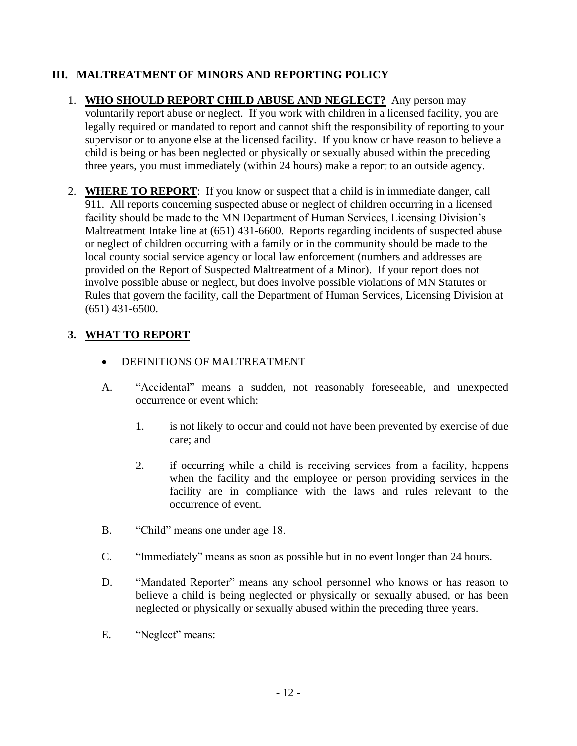## **III. MALTREATMENT OF MINORS AND REPORTING POLICY**

- 1. **WHO SHOULD REPORT CHILD ABUSE AND NEGLECT?** Any person may voluntarily report abuse or neglect. If you work with children in a licensed facility, you are legally required or mandated to report and cannot shift the responsibility of reporting to your supervisor or to anyone else at the licensed facility. If you know or have reason to believe a child is being or has been neglected or physically or sexually abused within the preceding three years, you must immediately (within 24 hours) make a report to an outside agency.
- 2. **WHERE TO REPORT**: If you know or suspect that a child is in immediate danger, call 911. All reports concerning suspected abuse or neglect of children occurring in a licensed facility should be made to the MN Department of Human Services, Licensing Division's Maltreatment Intake line at (651) 431-6600. Reports regarding incidents of suspected abuse or neglect of children occurring with a family or in the community should be made to the local county social service agency or local law enforcement (numbers and addresses are provided on the Report of Suspected Maltreatment of a Minor). If your report does not involve possible abuse or neglect, but does involve possible violations of MN Statutes or Rules that govern the facility, call the Department of Human Services, Licensing Division at (651) 431-6500.

## **3. WHAT TO REPORT**

- DEFINITIONS OF MALTREATMENT
- A. "Accidental" means a sudden, not reasonably foreseeable, and unexpected occurrence or event which:
	- 1. is not likely to occur and could not have been prevented by exercise of due care; and
	- 2. if occurring while a child is receiving services from a facility, happens when the facility and the employee or person providing services in the facility are in compliance with the laws and rules relevant to the occurrence of event.
- B. "Child" means one under age 18.
- C. "Immediately" means as soon as possible but in no event longer than 24 hours.
- D. "Mandated Reporter" means any school personnel who knows or has reason to believe a child is being neglected or physically or sexually abused, or has been neglected or physically or sexually abused within the preceding three years.
- E. "Neglect" means: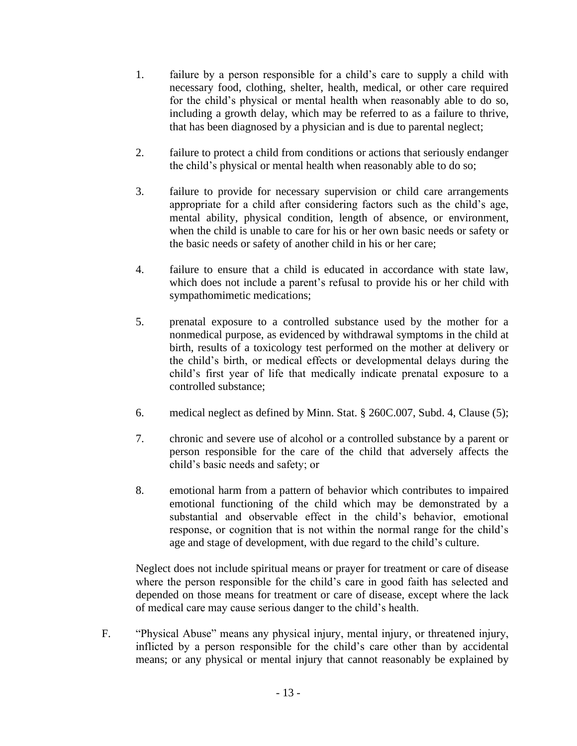- 1. failure by a person responsible for a child's care to supply a child with necessary food, clothing, shelter, health, medical, or other care required for the child's physical or mental health when reasonably able to do so, including a growth delay, which may be referred to as a failure to thrive, that has been diagnosed by a physician and is due to parental neglect;
- 2. failure to protect a child from conditions or actions that seriously endanger the child's physical or mental health when reasonably able to do so;
- 3. failure to provide for necessary supervision or child care arrangements appropriate for a child after considering factors such as the child's age, mental ability, physical condition, length of absence, or environment, when the child is unable to care for his or her own basic needs or safety or the basic needs or safety of another child in his or her care;
- 4. failure to ensure that a child is educated in accordance with state law, which does not include a parent's refusal to provide his or her child with sympathomimetic medications;
- 5. prenatal exposure to a controlled substance used by the mother for a nonmedical purpose, as evidenced by withdrawal symptoms in the child at birth, results of a toxicology test performed on the mother at delivery or the child's birth, or medical effects or developmental delays during the child's first year of life that medically indicate prenatal exposure to a controlled substance;
- 6. medical neglect as defined by Minn. Stat. § 260C.007, Subd. 4, Clause (5);
- 7. chronic and severe use of alcohol or a controlled substance by a parent or person responsible for the care of the child that adversely affects the child's basic needs and safety; or
- 8. emotional harm from a pattern of behavior which contributes to impaired emotional functioning of the child which may be demonstrated by a substantial and observable effect in the child's behavior, emotional response, or cognition that is not within the normal range for the child's age and stage of development, with due regard to the child's culture.

Neglect does not include spiritual means or prayer for treatment or care of disease where the person responsible for the child's care in good faith has selected and depended on those means for treatment or care of disease, except where the lack of medical care may cause serious danger to the child's health.

F. "Physical Abuse" means any physical injury, mental injury, or threatened injury, inflicted by a person responsible for the child's care other than by accidental means; or any physical or mental injury that cannot reasonably be explained by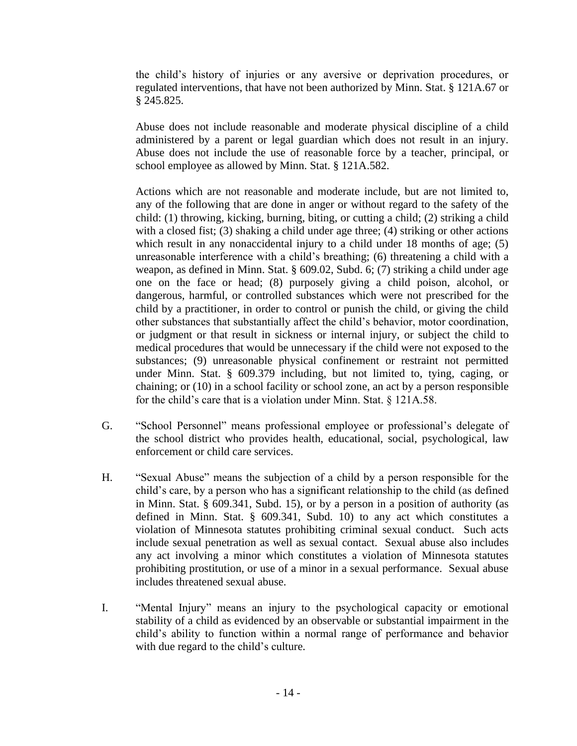the child's history of injuries or any aversive or deprivation procedures, or regulated interventions, that have not been authorized by Minn. Stat. § 121A.67 or § 245.825.

Abuse does not include reasonable and moderate physical discipline of a child administered by a parent or legal guardian which does not result in an injury. Abuse does not include the use of reasonable force by a teacher, principal, or school employee as allowed by Minn. Stat. § 121A.582.

Actions which are not reasonable and moderate include, but are not limited to, any of the following that are done in anger or without regard to the safety of the child: (1) throwing, kicking, burning, biting, or cutting a child; (2) striking a child with a closed fist; (3) shaking a child under age three; (4) striking or other actions which result in any nonaccidental injury to a child under 18 months of age; (5) unreasonable interference with a child's breathing; (6) threatening a child with a weapon, as defined in Minn. Stat. § 609.02, Subd. 6; (7) striking a child under age one on the face or head; (8) purposely giving a child poison, alcohol, or dangerous, harmful, or controlled substances which were not prescribed for the child by a practitioner, in order to control or punish the child, or giving the child other substances that substantially affect the child's behavior, motor coordination, or judgment or that result in sickness or internal injury, or subject the child to medical procedures that would be unnecessary if the child were not exposed to the substances; (9) unreasonable physical confinement or restraint not permitted under Minn. Stat. § 609.379 including, but not limited to, tying, caging, or chaining; or (10) in a school facility or school zone, an act by a person responsible for the child's care that is a violation under Minn. Stat. § 121A.58.

- G. "School Personnel" means professional employee or professional's delegate of the school district who provides health, educational, social, psychological, law enforcement or child care services.
- H. "Sexual Abuse" means the subjection of a child by a person responsible for the child's care, by a person who has a significant relationship to the child (as defined in Minn. Stat. § 609.341, Subd. 15), or by a person in a position of authority (as defined in Minn. Stat. § 609.341, Subd. 10) to any act which constitutes a violation of Minnesota statutes prohibiting criminal sexual conduct. Such acts include sexual penetration as well as sexual contact. Sexual abuse also includes any act involving a minor which constitutes a violation of Minnesota statutes prohibiting prostitution, or use of a minor in a sexual performance. Sexual abuse includes threatened sexual abuse.
- I. "Mental Injury" means an injury to the psychological capacity or emotional stability of a child as evidenced by an observable or substantial impairment in the child's ability to function within a normal range of performance and behavior with due regard to the child's culture.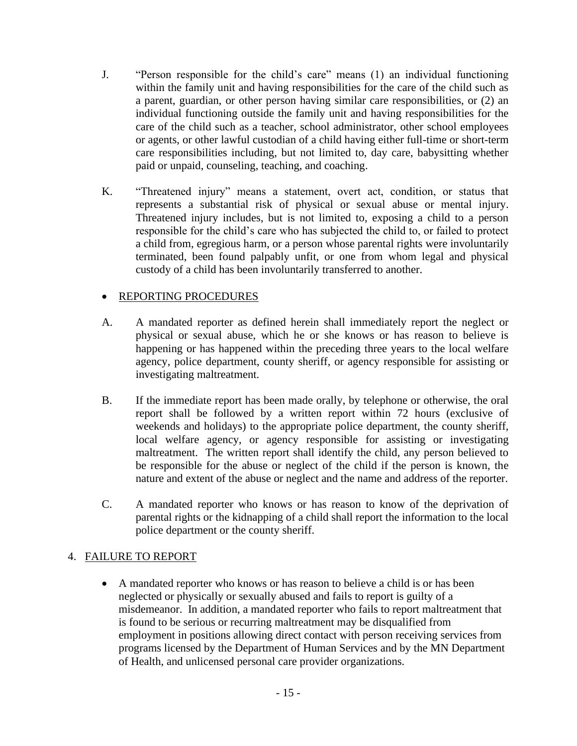- J. "Person responsible for the child's care" means (1) an individual functioning within the family unit and having responsibilities for the care of the child such as a parent, guardian, or other person having similar care responsibilities, or (2) an individual functioning outside the family unit and having responsibilities for the care of the child such as a teacher, school administrator, other school employees or agents, or other lawful custodian of a child having either full-time or short-term care responsibilities including, but not limited to, day care, babysitting whether paid or unpaid, counseling, teaching, and coaching.
- K. "Threatened injury" means a statement, overt act, condition, or status that represents a substantial risk of physical or sexual abuse or mental injury. Threatened injury includes, but is not limited to, exposing a child to a person responsible for the child's care who has subjected the child to, or failed to protect a child from, egregious harm, or a person whose parental rights were involuntarily terminated, been found palpably unfit, or one from whom legal and physical custody of a child has been involuntarily transferred to another.

## • REPORTING PROCEDURES

- A. A mandated reporter as defined herein shall immediately report the neglect or physical or sexual abuse, which he or she knows or has reason to believe is happening or has happened within the preceding three years to the local welfare agency, police department, county sheriff, or agency responsible for assisting or investigating maltreatment.
- B. If the immediate report has been made orally, by telephone or otherwise, the oral report shall be followed by a written report within 72 hours (exclusive of weekends and holidays) to the appropriate police department, the county sheriff, local welfare agency, or agency responsible for assisting or investigating maltreatment. The written report shall identify the child, any person believed to be responsible for the abuse or neglect of the child if the person is known, the nature and extent of the abuse or neglect and the name and address of the reporter.
- C. A mandated reporter who knows or has reason to know of the deprivation of parental rights or the kidnapping of a child shall report the information to the local police department or the county sheriff.

## 4. FAILURE TO REPORT

• A mandated reporter who knows or has reason to believe a child is or has been neglected or physically or sexually abused and fails to report is guilty of a misdemeanor. In addition, a mandated reporter who fails to report maltreatment that is found to be serious or recurring maltreatment may be disqualified from employment in positions allowing direct contact with person receiving services from programs licensed by the Department of Human Services and by the MN Department of Health, and unlicensed personal care provider organizations.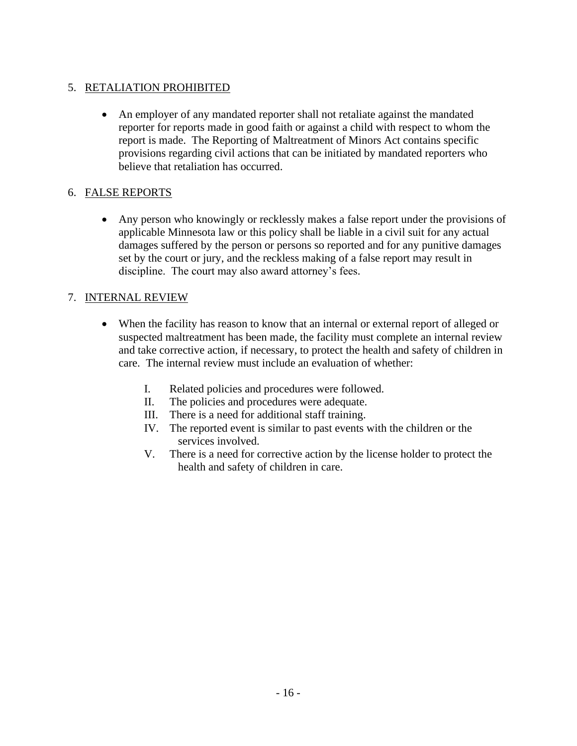## 5. RETALIATION PROHIBITED

• An employer of any mandated reporter shall not retaliate against the mandated reporter for reports made in good faith or against a child with respect to whom the report is made. The Reporting of Maltreatment of Minors Act contains specific provisions regarding civil actions that can be initiated by mandated reporters who believe that retaliation has occurred.

## 6. FALSE REPORTS

• Any person who knowingly or recklessly makes a false report under the provisions of applicable Minnesota law or this policy shall be liable in a civil suit for any actual damages suffered by the person or persons so reported and for any punitive damages set by the court or jury, and the reckless making of a false report may result in discipline. The court may also award attorney's fees.

## 7. INTERNAL REVIEW

- When the facility has reason to know that an internal or external report of alleged or suspected maltreatment has been made, the facility must complete an internal review and take corrective action, if necessary, to protect the health and safety of children in care. The internal review must include an evaluation of whether:
	- I. Related policies and procedures were followed.
	- II. The policies and procedures were adequate.
	- III. There is a need for additional staff training.
	- IV. The reported event is similar to past events with the children or the services involved.
	- V. There is a need for corrective action by the license holder to protect the health and safety of children in care.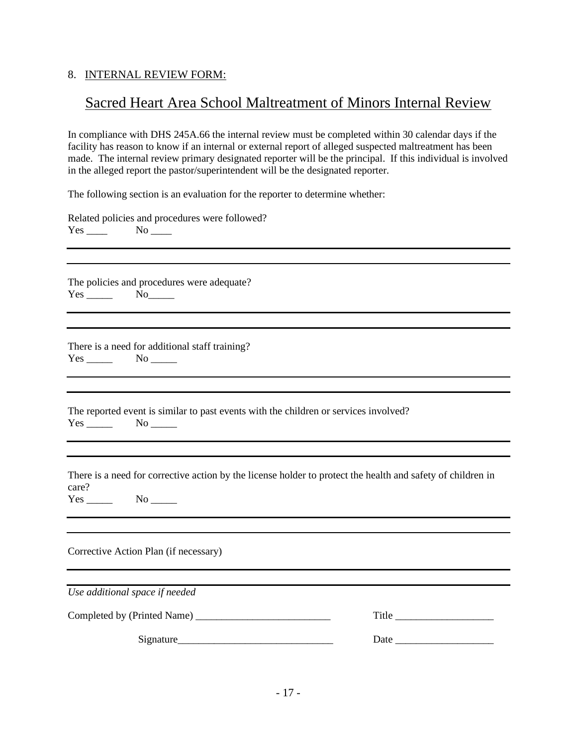#### 8. INTERNAL REVIEW FORM:

## Sacred Heart Area School Maltreatment of Minors Internal Review

In compliance with DHS 245A.66 the internal review must be completed within 30 calendar days if the facility has reason to know if an internal or external report of alleged suspected maltreatment has been made. The internal review primary designated reporter will be the principal. If this individual is involved in the alleged report the pastor/superintendent will be the designated reporter.

The following section is an evaluation for the reporter to determine whether:

Related policies and procedures were followed?  $Yes \_ No \_$ 

The policies and procedures were adequate? Yes \_\_\_\_\_\_\_ No\_\_\_\_\_\_

There is a need for additional staff training? Yes No

The reported event is similar to past events with the children or services involved?  $Yes \_\_\_\_\_\\$  No  $\_\_\_\_\_\_\$ 

There is a need for corrective action by the license holder to protect the health and safety of children in care?

Yes No

Corrective Action Plan (if necessary)

*Use additional space if needed*

| Completed by (Printed Name) |  |  |
|-----------------------------|--|--|
|                             |  |  |

 $Signature$  Date  $Date$   $Date$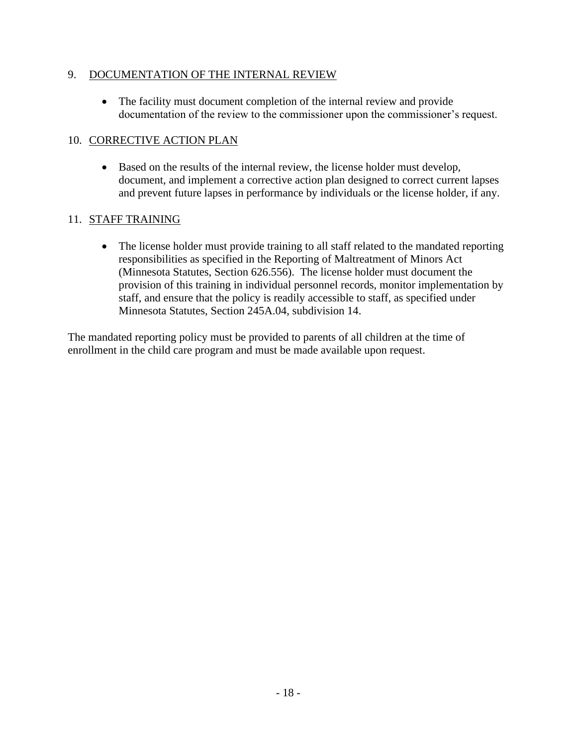## 9. DOCUMENTATION OF THE INTERNAL REVIEW

• The facility must document completion of the internal review and provide documentation of the review to the commissioner upon the commissioner's request.

## 10. CORRECTIVE ACTION PLAN

• Based on the results of the internal review, the license holder must develop, document, and implement a corrective action plan designed to correct current lapses and prevent future lapses in performance by individuals or the license holder, if any.

## 11. STAFF TRAINING

• The license holder must provide training to all staff related to the mandated reporting responsibilities as specified in the Reporting of Maltreatment of Minors Act (Minnesota Statutes, Section 626.556). The license holder must document the provision of this training in individual personnel records, monitor implementation by staff, and ensure that the policy is readily accessible to staff, as specified under Minnesota Statutes, Section 245A.04, subdivision 14.

The mandated reporting policy must be provided to parents of all children at the time of enrollment in the child care program and must be made available upon request.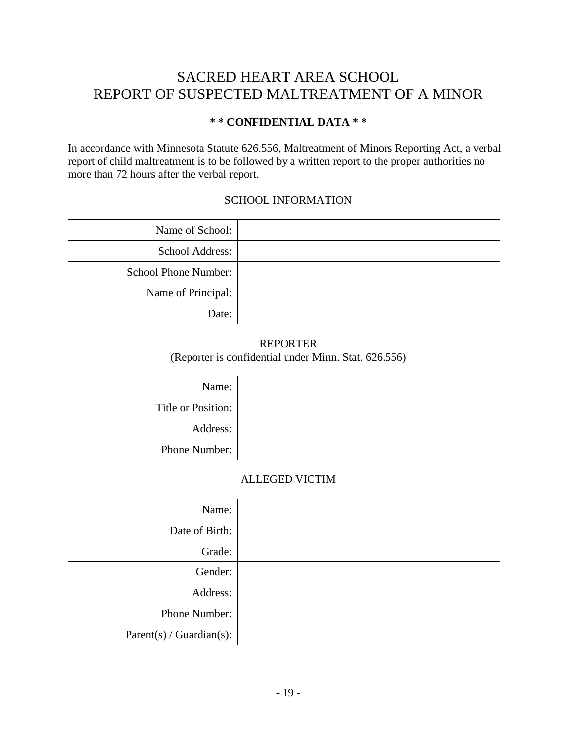## SACRED HEART AREA SCHOOL REPORT OF SUSPECTED MALTREATMENT OF A MINOR

## **\* \* CONFIDENTIAL DATA \* \***

In accordance with Minnesota Statute 626.556, Maltreatment of Minors Reporting Act, a verbal report of child maltreatment is to be followed by a written report to the proper authorities no more than 72 hours after the verbal report.

## SCHOOL INFORMATION

| Name of School:             |  |
|-----------------------------|--|
| School Address:             |  |
| <b>School Phone Number:</b> |  |
| Name of Principal:          |  |
| Date:                       |  |

#### REPORTER (Reporter is confidential under Minn. Stat. 626.556)

| Name:              |  |
|--------------------|--|
| Title or Position: |  |
| Address:           |  |
| Phone Number:      |  |

## ALLEGED VICTIM

| Name:                    |  |
|--------------------------|--|
| Date of Birth:           |  |
| Grade:                   |  |
| Gender:                  |  |
| Address:                 |  |
| Phone Number:            |  |
| Parent(s) / Guardian(s): |  |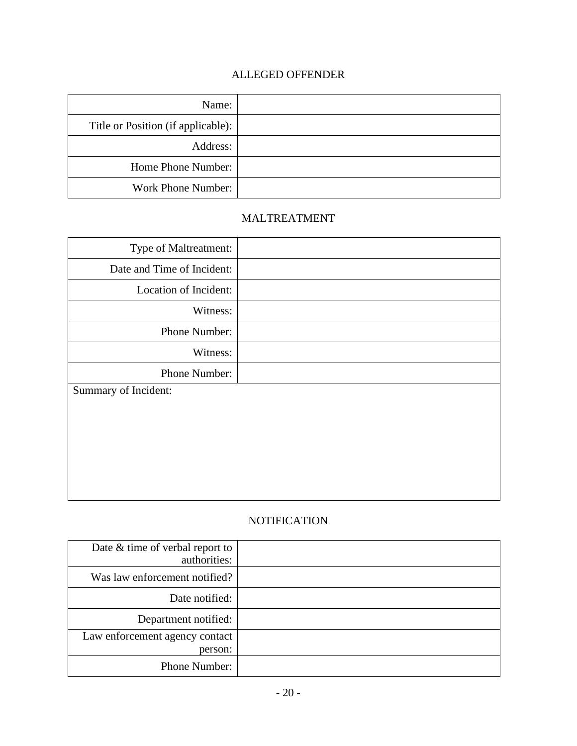## ALLEGED OFFENDER

| Name:                              |  |
|------------------------------------|--|
| Title or Position (if applicable): |  |
| Address:                           |  |
| Home Phone Number:                 |  |
| Work Phone Number:                 |  |

## MALTREATMENT

| Type of Maltreatment:      |  |
|----------------------------|--|
| Date and Time of Incident: |  |
| Location of Incident:      |  |
| Witness:                   |  |
| Phone Number:              |  |
| Witness:                   |  |
| Phone Number:              |  |
| Summary of Incident:       |  |
|                            |  |
|                            |  |
|                            |  |
|                            |  |
|                            |  |

## **NOTIFICATION**

| Date $&$ time of verbal report to<br>authorities: |  |
|---------------------------------------------------|--|
| Was law enforcement notified?                     |  |
| Date notified:                                    |  |
| Department notified:                              |  |
| Law enforcement agency contact<br>person:         |  |
| Phone Number:                                     |  |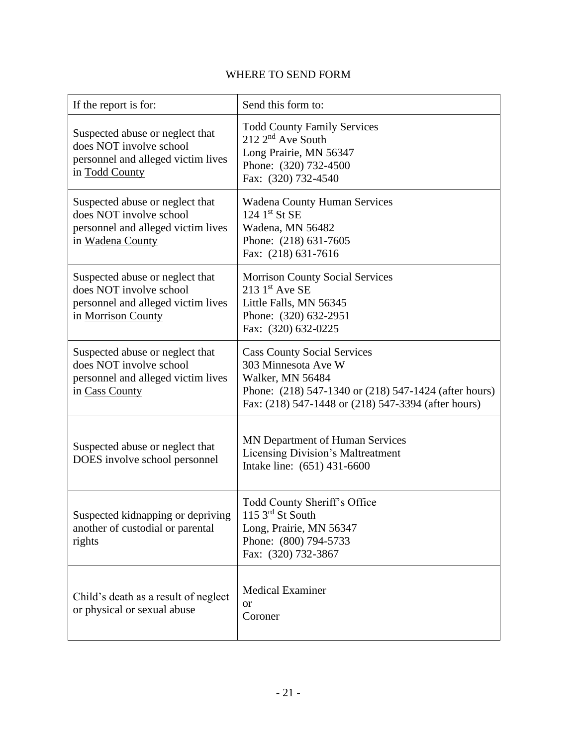## WHERE TO SEND FORM

| If the report is for:                                                                                                  | Send this form to:                                                                                                                                                                            |
|------------------------------------------------------------------------------------------------------------------------|-----------------------------------------------------------------------------------------------------------------------------------------------------------------------------------------------|
| Suspected abuse or neglect that<br>does NOT involve school<br>personnel and alleged victim lives<br>in Todd County     | <b>Todd County Family Services</b><br>$212 \, 2^{nd}$ Ave South<br>Long Prairie, MN 56347<br>Phone: (320) 732-4500<br>Fax: (320) 732-4540                                                     |
| Suspected abuse or neglect that<br>does NOT involve school<br>personnel and alleged victim lives<br>in Wadena County   | <b>Wadena County Human Services</b><br>$124$ 1 <sup>st</sup> St SE<br>Wadena, MN 56482<br>Phone: (218) 631-7605<br>Fax: (218) 631-7616                                                        |
| Suspected abuse or neglect that<br>does NOT involve school<br>personnel and alleged victim lives<br>in Morrison County | <b>Morrison County Social Services</b><br>$213$ 1st Ave SE<br>Little Falls, MN 56345<br>Phone: (320) 632-2951<br>Fax: (320) 632-0225                                                          |
| Suspected abuse or neglect that<br>does NOT involve school<br>personnel and alleged victim lives<br>in Cass County     | <b>Cass County Social Services</b><br>303 Minnesota Ave W<br>Walker, MN 56484<br>Phone: (218) 547-1340 or (218) 547-1424 (after hours)<br>Fax: (218) 547-1448 or (218) 547-3394 (after hours) |
| Suspected abuse or neglect that<br>DOES involve school personnel                                                       | MN Department of Human Services<br><b>Licensing Division's Maltreatment</b><br>Intake line: (651) 431-6600                                                                                    |
| Suspected kidnapping or depriving<br>another of custodial or parental<br>rights                                        | Todd County Sheriff's Office<br>115 $3rd$ St South<br>Long, Prairie, MN 56347<br>Phone: (800) 794-5733<br>Fax: (320) 732-3867                                                                 |
| Child's death as a result of neglect<br>or physical or sexual abuse                                                    | <b>Medical Examiner</b><br><sub>or</sub><br>Coroner                                                                                                                                           |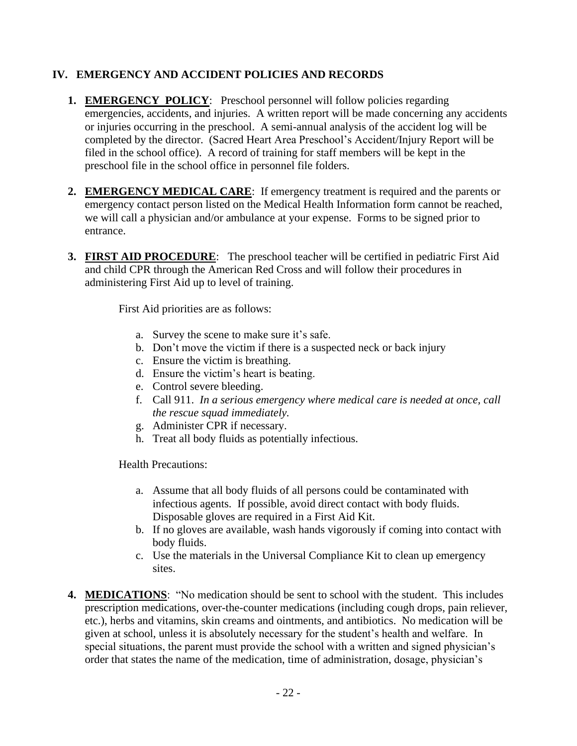## **IV. EMERGENCY AND ACCIDENT POLICIES AND RECORDS**

- **1. EMERGENCY POLICY:** Preschool personnel will follow policies regarding emergencies, accidents, and injuries. A written report will be made concerning any accidents or injuries occurring in the preschool. A semi-annual analysis of the accident log will be completed by the director. (Sacred Heart Area Preschool's Accident/Injury Report will be filed in the school office). A record of training for staff members will be kept in the preschool file in the school office in personnel file folders.
- **2. EMERGENCY MEDICAL CARE**: If emergency treatment is required and the parents or emergency contact person listed on the Medical Health Information form cannot be reached, we will call a physician and/or ambulance at your expense. Forms to be signed prior to entrance.
- **3. FIRST AID PROCEDURE**: The preschool teacher will be certified in pediatric First Aid and child CPR through the American Red Cross and will follow their procedures in administering First Aid up to level of training.

First Aid priorities are as follows:

- a. Survey the scene to make sure it's safe.
- b. Don't move the victim if there is a suspected neck or back injury
- c. Ensure the victim is breathing.
- d. Ensure the victim's heart is beating.
- e. Control severe bleeding.
- f. Call 911. *In a serious emergency where medical care is needed at once, call the rescue squad immediately.*
- g. Administer CPR if necessary.
- h. Treat all body fluids as potentially infectious.

Health Precautions:

- a. Assume that all body fluids of all persons could be contaminated with infectious agents. If possible, avoid direct contact with body fluids. Disposable gloves are required in a First Aid Kit.
- b. If no gloves are available, wash hands vigorously if coming into contact with body fluids.
- c. Use the materials in the Universal Compliance Kit to clean up emergency sites.
- **4. MEDICATIONS**: "No medication should be sent to school with the student. This includes prescription medications, over-the-counter medications (including cough drops, pain reliever, etc.), herbs and vitamins, skin creams and ointments, and antibiotics. No medication will be given at school, unless it is absolutely necessary for the student's health and welfare. In special situations, the parent must provide the school with a written and signed physician's order that states the name of the medication, time of administration, dosage, physician's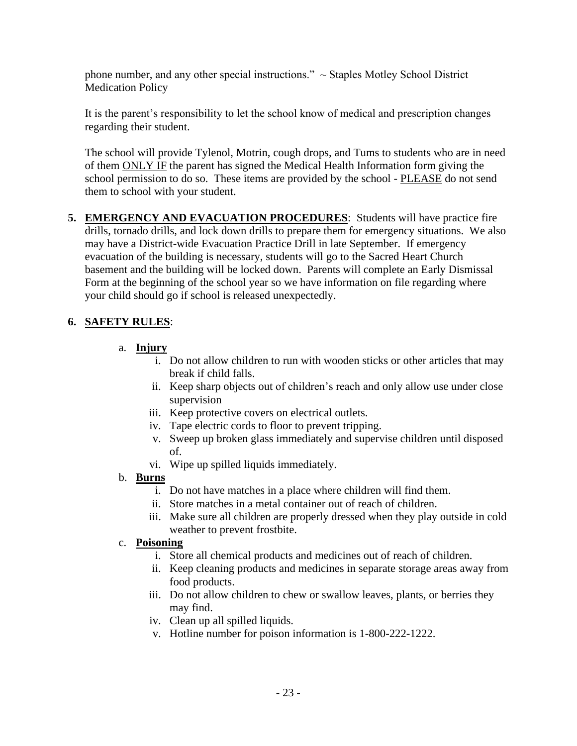phone number, and any other special instructions."  $\sim$  Staples Motley School District Medication Policy

It is the parent's responsibility to let the school know of medical and prescription changes regarding their student.

The school will provide Tylenol, Motrin, cough drops, and Tums to students who are in need of them ONLY IF the parent has signed the Medical Health Information form giving the school permission to do so. These items are provided by the school - PLEASE do not send them to school with your student.

**5. EMERGENCY AND EVACUATION PROCEDURES**: Students will have practice fire drills, tornado drills, and lock down drills to prepare them for emergency situations. We also may have a District-wide Evacuation Practice Drill in late September. If emergency evacuation of the building is necessary, students will go to the Sacred Heart Church basement and the building will be locked down. Parents will complete an Early Dismissal Form at the beginning of the school year so we have information on file regarding where your child should go if school is released unexpectedly.

## **6. SAFETY RULES**:

- a. **Injury**
	- i. Do not allow children to run with wooden sticks or other articles that may break if child falls.
	- ii. Keep sharp objects out of children's reach and only allow use under close supervision
	- iii. Keep protective covers on electrical outlets.
	- iv. Tape electric cords to floor to prevent tripping.
	- v. Sweep up broken glass immediately and supervise children until disposed of.
	- vi. Wipe up spilled liquids immediately.
- b. **Burns**
	- i. Do not have matches in a place where children will find them.
	- ii. Store matches in a metal container out of reach of children.
	- iii. Make sure all children are properly dressed when they play outside in cold weather to prevent frostbite.

## c. **Poisoning**

- i. Store all chemical products and medicines out of reach of children.
- ii. Keep cleaning products and medicines in separate storage areas away from food products.
- iii. Do not allow children to chew or swallow leaves, plants, or berries they may find.
- iv. Clean up all spilled liquids.
- v. Hotline number for poison information is 1-800-222-1222.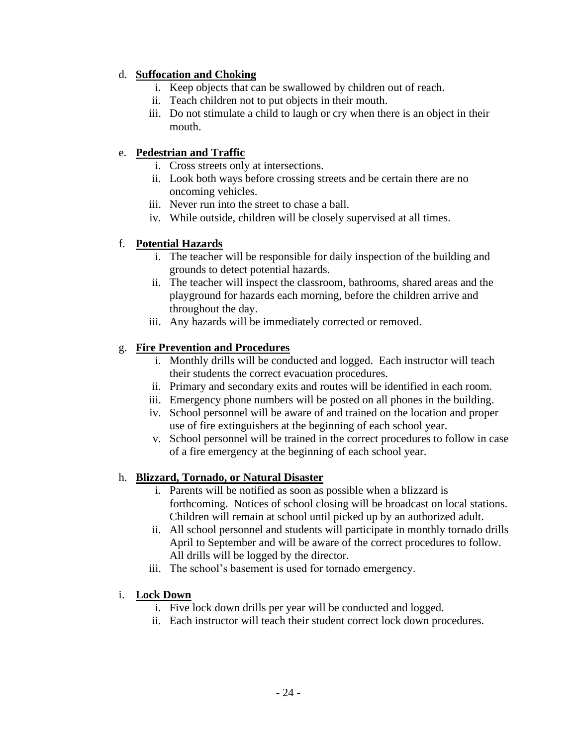## d. **Suffocation and Choking**

- i. Keep objects that can be swallowed by children out of reach.
- ii. Teach children not to put objects in their mouth.
- iii. Do not stimulate a child to laugh or cry when there is an object in their mouth.

## e. **Pedestrian and Traffic**

- i. Cross streets only at intersections.
- ii. Look both ways before crossing streets and be certain there are no oncoming vehicles.
- iii. Never run into the street to chase a ball.
- iv. While outside, children will be closely supervised at all times.

## f. **Potential Hazards**

- i. The teacher will be responsible for daily inspection of the building and grounds to detect potential hazards.
- ii. The teacher will inspect the classroom, bathrooms, shared areas and the playground for hazards each morning, before the children arrive and throughout the day.
- iii. Any hazards will be immediately corrected or removed.

## g. **Fire Prevention and Procedures**

- i. Monthly drills will be conducted and logged. Each instructor will teach their students the correct evacuation procedures.
- ii. Primary and secondary exits and routes will be identified in each room.
- iii. Emergency phone numbers will be posted on all phones in the building.
- iv. School personnel will be aware of and trained on the location and proper use of fire extinguishers at the beginning of each school year.
- v. School personnel will be trained in the correct procedures to follow in case of a fire emergency at the beginning of each school year.

## h. **Blizzard, Tornado, or Natural Disaster**

- i. Parents will be notified as soon as possible when a blizzard is forthcoming. Notices of school closing will be broadcast on local stations. Children will remain at school until picked up by an authorized adult.
- ii. All school personnel and students will participate in monthly tornado drills April to September and will be aware of the correct procedures to follow. All drills will be logged by the director.
- iii. The school's basement is used for tornado emergency.

## i. **Lock Down**

- i. Five lock down drills per year will be conducted and logged.
- ii. Each instructor will teach their student correct lock down procedures.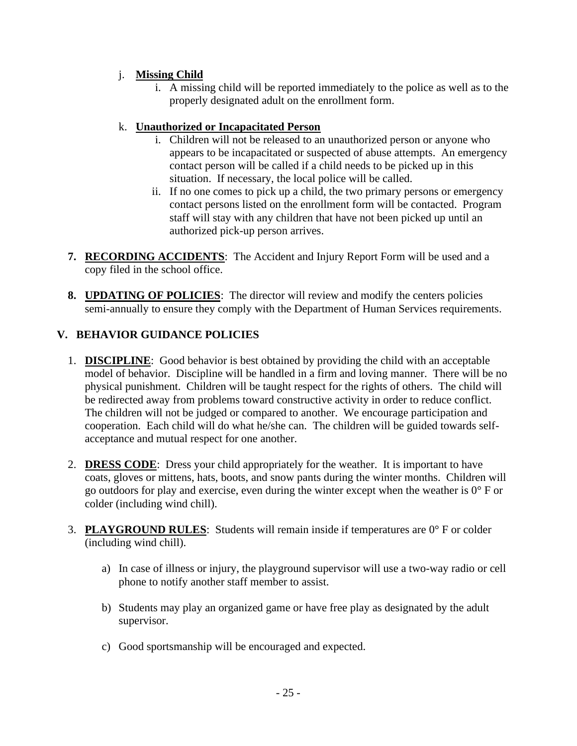## j. **Missing Child**

i. A missing child will be reported immediately to the police as well as to the properly designated adult on the enrollment form.

## k. **Unauthorized or Incapacitated Person**

- i. Children will not be released to an unauthorized person or anyone who appears to be incapacitated or suspected of abuse attempts. An emergency contact person will be called if a child needs to be picked up in this situation. If necessary, the local police will be called.
- ii. If no one comes to pick up a child, the two primary persons or emergency contact persons listed on the enrollment form will be contacted. Program staff will stay with any children that have not been picked up until an authorized pick-up person arrives.
- **7. RECORDING ACCIDENTS**: The Accident and Injury Report Form will be used and a copy filed in the school office.
- **8. UPDATING OF POLICIES**: The director will review and modify the centers policies semi-annually to ensure they comply with the Department of Human Services requirements.

## **V. BEHAVIOR GUIDANCE POLICIES**

- 1. **DISCIPLINE**: Good behavior is best obtained by providing the child with an acceptable model of behavior. Discipline will be handled in a firm and loving manner. There will be no physical punishment. Children will be taught respect for the rights of others. The child will be redirected away from problems toward constructive activity in order to reduce conflict. The children will not be judged or compared to another. We encourage participation and cooperation. Each child will do what he/she can. The children will be guided towards selfacceptance and mutual respect for one another.
- 2. **DRESS CODE**: Dress your child appropriately for the weather. It is important to have coats, gloves or mittens, hats, boots, and snow pants during the winter months. Children will go outdoors for play and exercise, even during the winter except when the weather is 0° F or colder (including wind chill).
- 3. **PLAYGROUND RULES**: Students will remain inside if temperatures are 0° F or colder (including wind chill).
	- a) In case of illness or injury, the playground supervisor will use a two-way radio or cell phone to notify another staff member to assist.
	- b) Students may play an organized game or have free play as designated by the adult supervisor.
	- c) Good sportsmanship will be encouraged and expected.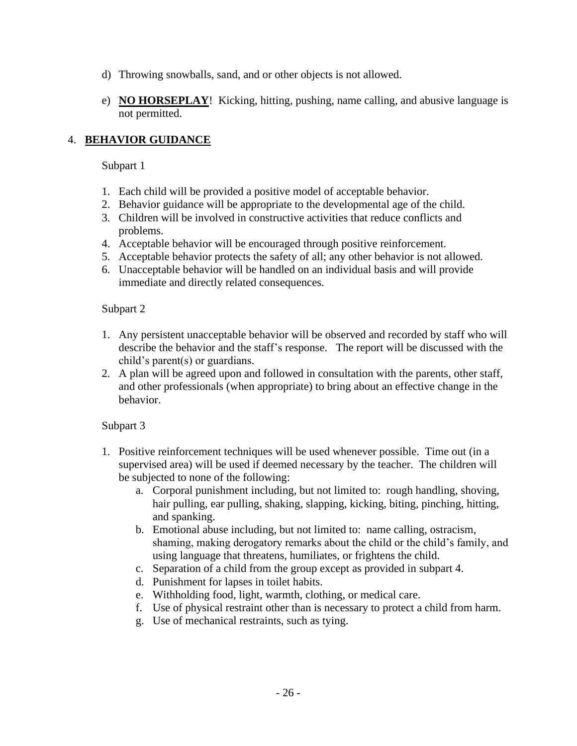- d) Throwing snowballs, sand, and or other objects is not allowed.
- e) **NO HORSEPLAY**! Kicking, hitting, pushing, name calling, and abusive language is not permitted.

## 4. **BEHAVIOR GUIDANCE**

## Subpart 1

- 1. Each child will be provided a positive model of acceptable behavior.
- 2. Behavior guidance will be appropriate to the developmental age of the child.
- 3. Children will be involved in constructive activities that reduce conflicts and problems.
- 4. Acceptable behavior will be encouraged through positive reinforcement.
- 5. Acceptable behavior protects the safety of all; any other behavior is not allowed.
- 6. Unacceptable behavior will be handled on an individual basis and will provide immediate and directly related consequences.

## Subpart 2

- 1. Any persistent unacceptable behavior will be observed and recorded by staff who will describe the behavior and the staff's response. The report will be discussed with the child's parent(s) or guardians.
- 2. A plan will be agreed upon and followed in consultation with the parents, other staff, and other professionals (when appropriate) to bring about an effective change in the behavior.

## Subpart 3

- 1. Positive reinforcement techniques will be used whenever possible. Time out (in a supervised area) will be used if deemed necessary by the teacher. The children will be subjected to none of the following:
	- a. Corporal punishment including, but not limited to: rough handling, shoving, hair pulling, ear pulling, shaking, slapping, kicking, biting, pinching, hitting, and spanking.
	- b. Emotional abuse including, but not limited to: name calling, ostracism, shaming, making derogatory remarks about the child or the child's family, and using language that threatens, humiliates, or frightens the child.
	- c. Separation of a child from the group except as provided in subpart 4.
	- d. Punishment for lapses in toilet habits.
	- e. Withholding food, light, warmth, clothing, or medical care.
	- f. Use of physical restraint other than is necessary to protect a child from harm.
	- g. Use of mechanical restraints, such as tying.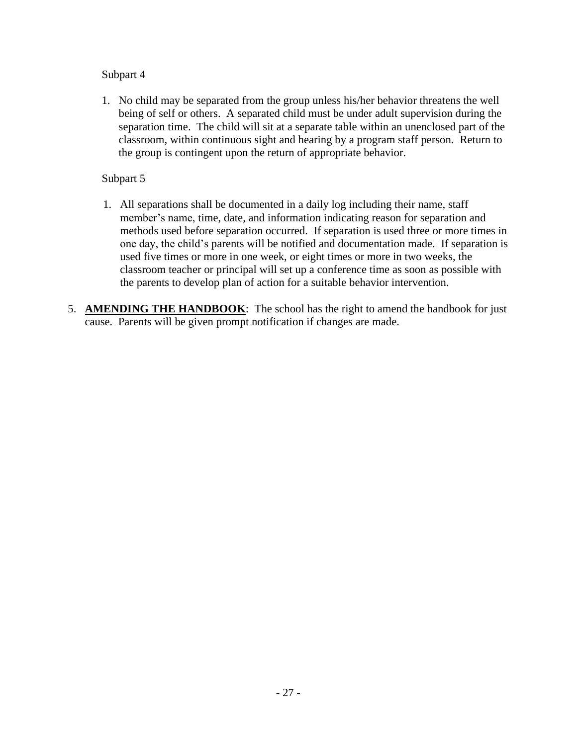## Subpart 4

1. No child may be separated from the group unless his/her behavior threatens the well being of self or others. A separated child must be under adult supervision during the separation time. The child will sit at a separate table within an unenclosed part of the classroom, within continuous sight and hearing by a program staff person. Return to the group is contingent upon the return of appropriate behavior.

## Subpart 5

- 1. All separations shall be documented in a daily log including their name, staff member's name, time, date, and information indicating reason for separation and methods used before separation occurred. If separation is used three or more times in one day, the child's parents will be notified and documentation made. If separation is used five times or more in one week, or eight times or more in two weeks, the classroom teacher or principal will set up a conference time as soon as possible with the parents to develop plan of action for a suitable behavior intervention.
- 5. **AMENDING THE HANDBOOK**: The school has the right to amend the handbook for just cause. Parents will be given prompt notification if changes are made.